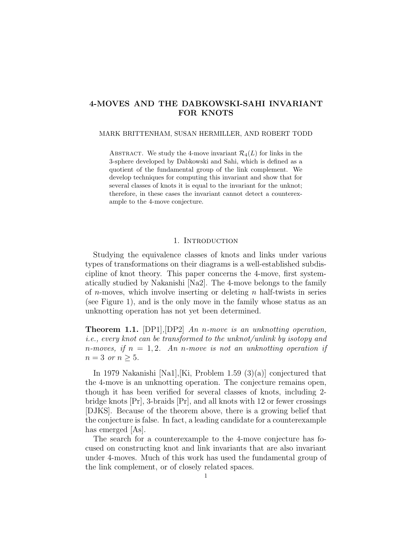# 4-MOVES AND THE DABKOWSKI-SAHI INVARIANT FOR KNOTS

#### MARK BRITTENHAM, SUSAN HERMILLER, AND ROBERT TODD

ABSTRACT. We study the 4-move invariant  $\mathcal{R}_4(L)$  for links in the 3-sphere developed by Dabkowski and Sahi, which is defined as a quotient of the fundamental group of the link complement. We develop techniques for computing this invariant and show that for several classes of knots it is equal to the invariant for the unknot; therefore, in these cases the invariant cannot detect a counterexample to the 4-move conjecture.

### 1. INTRODUCTION

Studying the equivalence classes of knots and links under various types of transformations on their diagrams is a well-established subdiscipline of knot theory. This paper concerns the 4-move, first systematically studied by Nakanishi [Na2]. The 4-move belongs to the family of *n*-moves, which involve inserting or deleting *n* half-twists in series (see Figure 1), and is the only move in the family whose status as an unknotting operation has not yet been determined.

Theorem 1.1. [DP1]*,*[DP2] *An* n*-move is an unknotting operation, i.e., every knot can be transformed to the unknot/unlink by isotopy and* n*-moves, if* n = 1, 2*. An* n*-move is not an unknotting operation if*  $n = 3 \text{ or } n \geq 5.$ 

In 1979 Nakanishi [Na1],[Ki, Problem 1.59 (3)(a)] conjectured that the 4-move is an unknotting operation. The conjecture remains open, though it has been verified for several classes of knots, including 2 bridge knots [Pr], 3-braids [Pr], and all knots with 12 or fewer crossings [DJKS]. Because of the theorem above, there is a growing belief that the conjecture is false. In fact, a leading candidate for a counterexample has emerged  $|As|$ .

The search for a counterexample to the 4-move conjecture has focused on constructing knot and link invariants that are also invariant under 4-moves. Much of this work has used the fundamental group of the link complement, or of closely related spaces.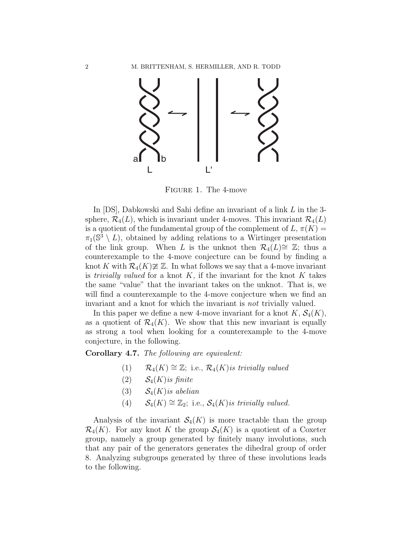

Figure 1. The 4-move

In [DS], Dabkowski and Sahi define an invariant of a link L in the 3 sphere,  $\mathcal{R}_4(L)$ , which is invariant under 4-moves. This invariant  $\mathcal{R}_4(L)$ is a quotient of the fundamental group of the complement of  $L, \pi(K) =$  $\pi_1(\mathbb{S}^3 \setminus L)$ , obtained by adding relations to a Wirtinger presentation of the link group. When L is the unknot then  $\mathcal{R}_4(L) \cong \mathbb{Z}$ ; thus a counterexample to the 4-move conjecture can be found by finding a knot K with  $\mathcal{R}_4(K) \not\cong \mathbb{Z}$ . In what follows we say that a 4-move invariant is *trivially valued* for a knot  $K$ , if the invariant for the knot  $K$  takes the same "value" that the invariant takes on the unknot. That is, we will find a counterexample to the 4-move conjecture when we find an invariant and a knot for which the invariant is *not* trivially valued.

In this paper we define a new 4-move invariant for a knot  $K, \mathcal{S}_4(K)$ , as a quotient of  $\mathcal{R}_4(K)$ . We show that this new invariant is equally as strong a tool when looking for a counterexample to the 4-move conjecture, in the following.

Corollary 4.7. *The following are equivalent:*

- (1)  $\mathcal{R}_4(K) \cong \mathbb{Z}$ ; i.e.,  $\mathcal{R}_4(K)$ *is trivially valued*
- (2)  $S_4(K)$ *is finite*
- (3) S4(K)*is abelian*
- (4)  $S_4(K) \cong \mathbb{Z}_2$ ; i.e.,  $S_4(K)$ *is trivially valued.*

Analysis of the invariant  $\mathcal{S}_4(K)$  is more tractable than the group  $\mathcal{R}_4(K)$ . For any knot K the group  $\mathcal{S}_4(K)$  is a quotient of a Coxeter group, namely a group generated by finitely many involutions, such that any pair of the generators generates the dihedral group of order 8. Analyzing subgroups generated by three of these involutions leads to the following.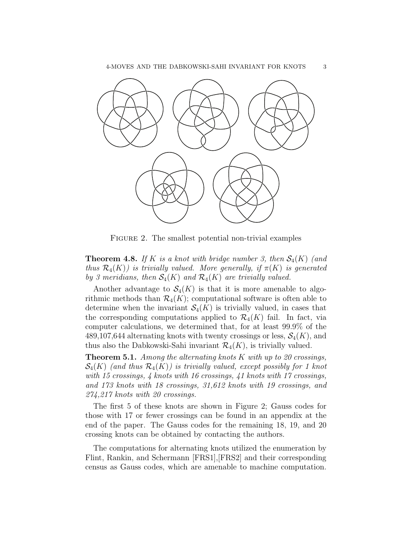

FIGURE 2. The smallest potential non-trivial examples

**Theorem 4.8.** If K is a knot with bridge number 3, then  $S_4(K)$  (and *thus*  $\mathcal{R}_4(K)$ *) is trivially valued. More generally, if*  $\pi(K)$  *is generated by 3 meridians, then*  $S_4(K)$  *and*  $\mathcal{R}_4(K)$  *are trivially valued.* 

Another advantage to  $\mathcal{S}_4(K)$  is that it is more amenable to algorithmic methods than  $\mathcal{R}_4(K)$ ; computational software is often able to determine when the invariant  $\mathcal{S}_4(K)$  is trivially valued, in cases that the corresponding computations applied to  $\mathcal{R}_4(K)$  fail. In fact, via computer calculations, we determined that, for at least 99.9% of the 489,107,644 alternating knots with twenty crossings or less,  $\mathcal{S}_4(K)$ , and thus also the Dabkowski-Sahi invariant  $\mathcal{R}_4(K)$ , is trivially valued.

Theorem 5.1. *Among the alternating knots* K *with up to 20 crossings,*  $\mathcal{S}_4(K)$  (and thus  $\mathcal{R}_4(K)$ ) is trivially valued, except possibly for 1 knot *with 15 crossings, 4 knots with 16 crossings, 41 knots with 17 crossings, and 173 knots with 18 crossings, 31,612 knots with 19 crossings, and 274,217 knots with 20 crossings.*

The first 5 of these knots are shown in Figure 2; Gauss codes for those with 17 or fewer crossings can be found in an appendix at the end of the paper. The Gauss codes for the remaining 18, 19, and 20 crossing knots can be obtained by contacting the authors.

The computations for alternating knots utilized the enumeration by Flint, Rankin, and Schermann [FRS1],[FRS2] and their corresponding census as Gauss codes, which are amenable to machine computation.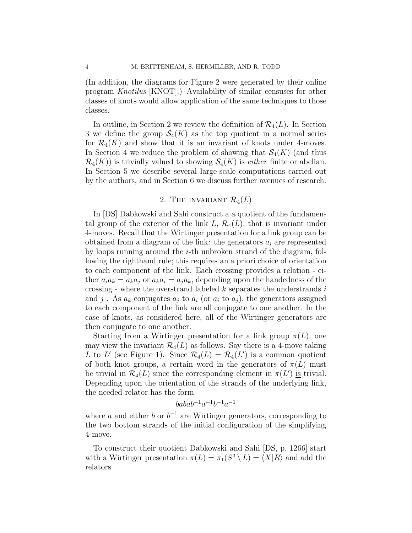(In addition, the diagrams for Figure 2 were generated by their online program *Knotilus* [KNOT].) Availability of similar censuses for other classes of knots would allow application of the same techniques to those classes.

In outline, in Section 2 we review the definition of  $\mathcal{R}_4(L)$ . In Section 3 we define the group  $\mathcal{S}_4(K)$  as the top quotient in a normal series for  $\mathcal{R}_4(K)$  and show that it is an invariant of knots under 4-moves. In Section 4 we reduce the problem of showing that  $\mathcal{S}_4(K)$  (and thus  $\mathcal{R}_4(K)$  is trivially valued to showing  $\mathcal{S}_4(K)$  is *either* finite or abelian. In Section 5 we describe several large-scale computations carried out by the authors, and in Section 6 we discuss further avenues of research.

# 2. THE INVARIANT  $\mathcal{R}_4(L)$

In [DS] Dabkowski and Sahi construct a a quotient of the fundamental group of the exterior of the link L,  $\mathcal{R}_4(L)$ , that is invariant under 4-moves. Recall that the Wirtinger presentation for a link group can be obtained from a diagram of the link: the generators  $a_i$  are represented by loops running around the  $i$ -th unbroken strand of the diagram, following the righthand rule; this requires an a priori choice of orientation to each component of the link. Each crossing provides a relation - either  $a_i a_k = a_k a_j$  or  $a_k a_i = a_j a_k$ , depending upon the handedness of the crossing - where the overstrand labeled  $k$  separates the understrands  $i$ and j. As  $a_k$  conjugates  $a_j$  to  $a_i$  (or  $a_i$  to  $a_j$ ), the generators assigned to each component of the link are all conjugate to one another. In the case of knots, as considered here, all of the Wirtinger generators are then conjugate to one another.

Starting from a Wirtinger presentation for a link group  $\pi(L)$ , one may view the invariant  $\mathcal{R}_4(L)$  as follows. Say there is a 4-move taking L to L' (see Figure 1). Since  $\mathcal{R}_4(L) = \mathcal{R}_4(L)$  is a common quotient of both knot groups, a certain word in the generators of  $\pi(L)$  must be trivial in  $\mathcal{R}_4(L)$  since the corresponding element in  $\pi(L')$  is trivial. Depending upon the orientation of the strands of the underlying link, the needed relator has the form

$$
babab^{-1}a^{-1}b^{-1}a^{-1}
$$

where a and either b or  $b^{-1}$  are Wirtinger generators, corresponding to the two bottom strands of the initial configuration of the simplifying 4-move.

To construct their quotient Dabkowski and Sahi [DS, p. 1266] start with a Wirtinger presentation  $\pi(L) = \pi_1(S^3 \setminus L) = \langle X|R \rangle$  and add the relators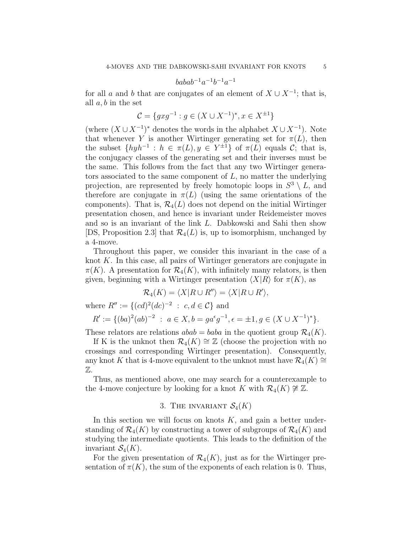$$
babab^{-1}a^{-1}b^{-1}a^{-1} \\
$$

for all a and b that are conjugates of an element of  $X \cup X^{-1}$ ; that is, all  $a, b$  in the set

$$
\mathcal{C} = \{gxg^{-1} : g \in (X \cup X^{-1})^*, x \in X^{\pm 1}\}
$$

(where  $(X \cup X^{-1})^*$  denotes the words in the alphabet  $X \cup X^{-1}$ ). Note that whenever Y is another Wirtinger generating set for  $\pi(L)$ , then the subset  $\{h y h^{-1} : h \in \pi(L), y \in Y^{\pm 1}\}\$  of  $\pi(L)$  equals  $\mathcal{C}$ ; that is, the conjugacy classes of the generating set and their inverses must be the same. This follows from the fact that any two Wirtinger generators associated to the same component of  $L$ , no matter the underlying projection, are represented by freely homotopic loops in  $S^3 \setminus L$ , and therefore are conjugate in  $\pi(L)$  (using the same orientations of the components). That is,  $\mathcal{R}_4(L)$  does not depend on the initial Wirtinger presentation chosen, and hence is invariant under Reidemeister moves and so is an invariant of the link L. Dabkowski and Sahi then show [DS, Proposition 2.3] that  $\mathcal{R}_4(L)$  is, up to isomorphism, unchanged by a 4-move.

Throughout this paper, we consider this invariant in the case of a knot  $K$ . In this case, all pairs of Wirtinger generators are conjugate in  $\pi(K)$ . A presentation for  $\mathcal{R}_4(K)$ , with infinitely many relators, is then given, beginning with a Wirtinger presentation  $\langle X|R \rangle$  for  $\pi(K)$ , as

$$
\mathcal{R}_4(K) = \langle X | R \cup R'' \rangle = \langle X | R \cup R' \rangle,
$$

where  $R'' := \{(cd)^2 (dc)^{-2} : c, d \in \mathcal{C}\}\)$  and

$$
R' := \{ (ba)^2(ab)^{-2} \ : \ a \in X, b = ga^{\epsilon}g^{-1}, \epsilon = \pm 1, g \in (X \cup X^{-1})^* \}.
$$

These relators are relations  $abab = baba$  in the quotient group  $\mathcal{R}_4(K)$ .

If K is the unknot then  $\mathcal{R}_4(K) \cong \mathbb{Z}$  (choose the projection with no crossings and corresponding Wirtinger presentation). Consequently, any knot K that is 4-move equivalent to the unknot must have  $\mathcal{R}_4(K) \cong$ Z.

Thus, as mentioned above, one may search for a counterexample to the 4-move conjecture by looking for a knot K with  $\mathcal{R}_4(K) \not\cong \mathbb{Z}$ .

### 3. THE INVARIANT  $\mathcal{S}_4(K)$

In this section we will focus on knots  $K$ , and gain a better understanding of  $\mathcal{R}_4(K)$  by constructing a tower of subgroups of  $\mathcal{R}_4(K)$  and studying the intermediate quotients. This leads to the definition of the invariant  $S_4(K)$ .

For the given presentation of  $\mathcal{R}_4(K)$ , just as for the Wirtinger presentation of  $\pi(K)$ , the sum of the exponents of each relation is 0. Thus,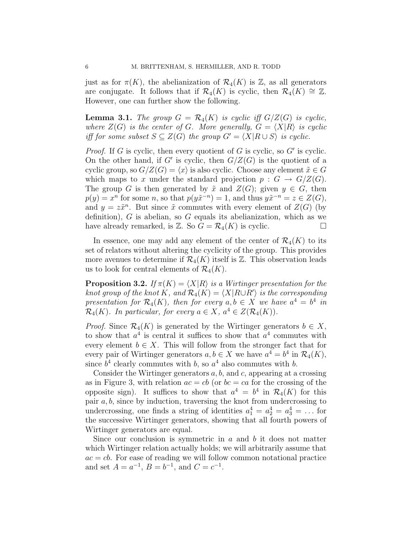just as for  $\pi(K)$ , the abelianization of  $\mathcal{R}_4(K)$  is  $\mathbb{Z}$ , as all generators are conjugate. It follows that if  $\mathcal{R}_4(K)$  is cyclic, then  $\mathcal{R}_4(K) \cong \mathbb{Z}$ . However, one can further show the following.

**Lemma 3.1.** *The group*  $G = \mathcal{R}_4(K)$  *is cyclic iff*  $G/Z(G)$  *is cyclic, where*  $Z(G)$  *is the center of G. More generally,*  $G = \langle X|R \rangle$  *is cyclic iff for some subset*  $S \subseteq Z(G)$  *the group*  $G' = \langle X | R \cup S \rangle$  *is cyclic.* 

*Proof.* If G is cyclic, then every quotient of G is cyclic, so  $G'$  is cyclic. On the other hand, if G' is cyclic, then  $G/Z(G)$  is the quotient of a cyclic group, so  $G/Z(G) = \langle x \rangle$  is also cyclic. Choose any element  $\tilde{x} \in G$ which maps to x under the standard projection  $p : G \to G/Z(G)$ . The group G is then generated by  $\tilde{x}$  and  $Z(G)$ ; given  $y \in G$ , then  $p(y) = x^n$  for some n, so that  $p(y\tilde{x}^{-n}) = 1$ , and thus  $y\tilde{x}^{-n} = z \in Z(G)$ , and  $y = z\tilde{x}^n$ . But since  $\tilde{x}$  commutes with every element of  $Z(G)$  (by definition),  $G$  is abelian, so  $G$  equals its abelianization, which as we have already remarked, is  $\mathbb{Z}$ . So  $G = \mathcal{R}_4(K)$  is cyclic.

In essence, one may add any element of the center of  $\mathcal{R}_4(K)$  to its set of relators without altering the cyclicity of the group. This provides more avenues to determine if  $\mathcal{R}_4(K)$  itself is  $\mathbb{Z}$ . This observation leads us to look for central elements of  $\mathcal{R}_4(K)$ .

**Proposition 3.2.** *If*  $\pi(K) = \langle X | R \rangle$  *is a Wirtinger presentation for the knot group of the knot*  $K$ , and  $\mathcal{R}_4(K) = \langle X | R \cup R' \rangle$  *is the corresponding presentation for*  $\mathcal{R}_4(K)$ , then for every  $a, b \in X$  we have  $a^4 = b^4$  in  $\mathcal{R}_4(K)$ *. In particular, for every*  $a \in X$ *,*  $a^4 \in Z(\mathcal{R}_4(K))$ *.* 

*Proof.* Since  $\mathcal{R}_4(K)$  is generated by the Wirtinger generators  $b \in X$ , to show that  $a^4$  is central it suffices to show that  $a^4$  commutes with every element  $b \in X$ . This will follow from the stronger fact that for every pair of Wirtinger generators  $a, b \in X$  we have  $a^4 = b^4$  in  $\mathcal{R}_4(K)$ , since  $b^4$  clearly commutes with b, so  $a^4$  also commutes with b.

Consider the Wirtinger generators  $a, b$ , and  $c$ , appearing at a crossing as in Figure 3, with relation  $ac = cb$  (or  $bc = ca$  for the crossing of the opposite sign). It suffices to show that  $a^4 = b^4$  in  $\mathcal{R}_4(K)$  for this pair  $a, b$ , since by induction, traversing the knot from undercrossing to undercrossing, one finds a string of identities  $a_1^4 = a_2^4 = a_3^4 = \dots$  for the successive Wirtinger generators, showing that all fourth powers of Wirtinger generators are equal.

Since our conclusion is symmetric in  $a$  and  $b$  it does not matter which Wirtinger relation actually holds; we will arbitrarily assume that  $ac = cb$ . For ease of reading we will follow common notational practice and set  $A = a^{-1}$ ,  $B = b^{-1}$ , and  $C = c^{-1}$ .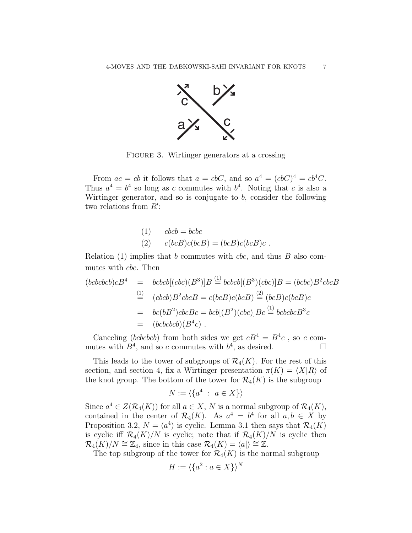

FIGURE 3. Wirtinger generators at a crossing

From  $ac = cb$  it follows that  $a = cbC$ , and so  $a^4 = (cbC)^4 = cb^4C$ . Thus  $a^4 = b^4$  so long as c commutes with  $b^4$ . Noting that c is also a Wirtinger generator, and so is conjugate to  $b$ , consider the following two relations from  $R'$ :

(1) 
$$
cbcb = bcbc
$$
  
(2)  $c(bcB)c(bcB) = (bcB)c(bcB)c$ .

Relation  $(1)$  implies that b commutes with *cbc*, and thus B also commutes with cbc. Then

$$
(bcbcbcb)cB4 = bcbcb[(cbc)(B3)]B \stackrel{(1)}{=} bcbcb[(B3)(cbc)]B = (bcbc)B2cbcB
$$
  
\n
$$
\stackrel{(1)}{=} (cbcb)B2cbcB = c(bcB)c(bcB) \stackrel{(2)}{=} (bcB)c(bcB)c
$$
  
\n
$$
= bc(bB2)cbcBc = bcb[(B2)(cbc)]Bc \stackrel{(1)}{=} bcbcbcB3c
$$
  
\n
$$
= (bcbcbcb)(B4c).
$$

Canceling (bcbcbcb) from both sides we get  $cB^4 = B^4c$ , so c commutes with  $B^4$ , and so c commutes with  $b^4$ , as desired.

This leads to the tower of subgroups of  $\mathcal{R}_4(K)$ . For the rest of this section, and section 4, fix a Wirtinger presentation  $\pi(K) = \langle X|R \rangle$  of the knot group. The bottom of the tower for  $\mathcal{R}_4(K)$  is the subgroup

$$
N := \langle \{a^4 \ : \ a \in X\} \rangle
$$

Since  $a^4 \in Z(\mathcal{R}_4(K))$  for all  $a \in X$ , N is a normal subgroup of  $\mathcal{R}_4(K)$ , contained in the center of  $\mathcal{R}_4(K)$ . As  $a^4 = b^4$  for all  $a, b \in X$  by Proposition 3.2,  $N = \langle a^4 \rangle$  is cyclic. Lemma 3.1 then says that  $\mathcal{R}_4(K)$ is cyclic iff  $\mathcal{R}_4(K)/N$  is cyclic; note that if  $\mathcal{R}_4(K)/N$  is cyclic then  $\mathcal{R}_4(K)/N \cong \mathbb{Z}_4$ , since in this case  $\mathcal{R}_4(K) = \langle a \rangle \cong \mathbb{Z}$ .

The top subgroup of the tower for  $\mathcal{R}_4(K)$  is the normal subgroup

$$
H := \langle \{a^2 : a \in X\} \rangle^N
$$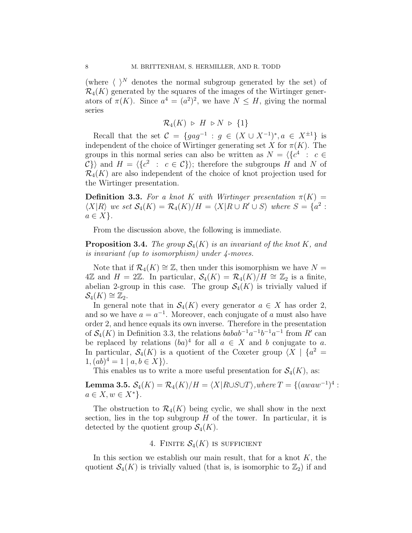(where  $\langle \ \rangle^N$  denotes the normal subgroup generated by the set) of  $\mathcal{R}_4(K)$  generated by the squares of the images of the Wirtinger generators of  $\pi(K)$ . Since  $a^4 = (a^2)^2$ , we have  $N \leq H$ , giving the normal series

$$
\mathcal{R}_4(K) \; \triangleright \; H \; \triangleright N \; \triangleright \; \{1\}
$$

Recall that the set  $C = \{gag^{-1} : g \in (X \cup X^{-1})^*, a \in X^{\pm 1}\}\$ is independent of the choice of Wirtinger generating set X for  $\pi(K)$ . The groups in this normal series can also be written as  $N = \langle \{c^4 : c \in$  $\{\mathcal{C}\}\}\$  and  $H = \langle \{c^2 : c \in \mathcal{C}\}\rangle$ ; therefore the subgroups H and N of  $\mathcal{R}_4(K)$  are also independent of the choice of knot projection used for the Wirtinger presentation.

**Definition 3.3.** For a knot K with Wirtinger presentation  $\pi(K)$  =  $\langle X|R\rangle$  we set  $\mathcal{S}_4(K) = \mathcal{R}_4(K)/H = \langle X|R \cup R' \cup S \rangle$  where  $S = \{a^2 :$  $a \in X$ .

From the discussion above, the following is immediate.

**Proposition 3.4.** *The group*  $\mathcal{S}_4(K)$  *is an invariant of the knot* K, and *is invariant (up to isomorphism) under 4-moves.*

Note that if  $\mathcal{R}_4(K) \cong \mathbb{Z}$ , then under this isomorphism we have  $N =$ 4ℤ and  $H = 2\mathbb{Z}$ . In particular,  $\mathcal{S}_4(K) = \mathcal{R}_4(K)/H \cong \mathbb{Z}_2$  is a finite, abelian 2-group in this case. The group  $\mathcal{S}_4(K)$  is trivially valued if  $\mathcal{S}_4(K) \cong \mathbb{Z}_2.$ 

In general note that in  $\mathcal{S}_4(K)$  every generator  $a \in X$  has order 2, and so we have  $a = a^{-1}$ . Moreover, each conjugate of a must also have order 2, and hence equals its own inverse. Therefore in the presentation of  $\mathcal{S}_4(K)$  in Definition 3.3, the relations  $babab^{-1}a^{-1}b^{-1}a^{-1}$  from R' can be replaced by relations  $(ba)^4$  for all  $a \in X$  and b conjugate to a. In particular,  $S_4(K)$  is a quotient of the Coxeter group  $\langle X |$   $\{a^2 =$  $1, (ab)^4 = 1 | a, b \in X$ .

This enables us to write a more useful presentation for  $\mathcal{S}_4(K)$ , as:

**Lemma 3.5.**  $S_4(K) = \mathcal{R}_4(K)/H = \langle X | R \cup S \cup T \rangle$ , where  $T = \{(away^{-1})^4 :$  $a \in X, w \in X^*$  }.

The obstruction to  $\mathcal{R}_4(K)$  being cyclic, we shall show in the next section, lies in the top subgroup  $H$  of the tower. In particular, it is detected by the quotient group  $\mathcal{S}_4(K)$ .

# 4. FINITE  $S_4(K)$  is sufficient

In this section we establish our main result, that for a knot  $K$ , the quotient  $\mathcal{S}_4(K)$  is trivially valued (that is, is isomorphic to  $\mathbb{Z}_2$ ) if and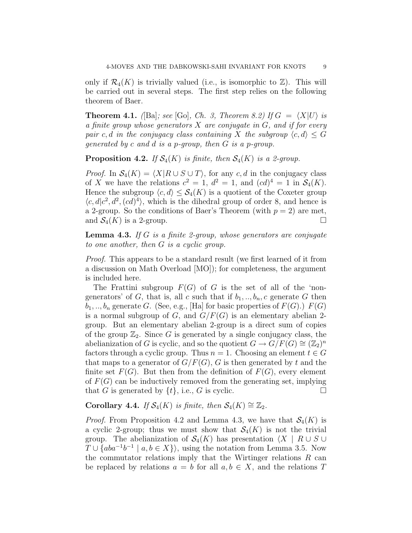only if  $\mathcal{R}_4(K)$  is trivially valued (i.e., is isomorphic to  $\mathbb{Z}$ ). This will be carried out in several steps. The first step relies on the following theorem of Baer.

**Theorem 4.1.** *(*[Ba]*; see* [Go]*, Ch. 3, Theorem 8.2)* If  $G = \langle X|U \rangle$  *is a finite group whose generators* X *are conjugate in* G*, and if for every pair* c, d in the conjugacy class containing X the subgroup  $\langle c, d \rangle \leq G$ *generated by* c *and* d *is a* p*-group, then* G *is a* p*-group.*

**Proposition 4.2.** *If*  $S_4(K)$  *is finite, then*  $S_4(K)$  *is a 2-group.* 

*Proof.* In  $S_4(K) = \langle X | R \cup S \cup T \rangle$ , for any c, d in the conjugacy class of X we have the relations  $c^2 = 1$ ,  $d^2 = 1$ , and  $(cd)^4 = 1$  in  $\mathcal{S}_4(K)$ . Hence the subgroup  $\langle c, d \rangle \leq \mathcal{S}_4(K)$  is a quotient of the Coxeter group  $\langle c, d | c^2, d^2, (cd)^4 \rangle$ , which is the dihedral group of order 8, and hence is a 2-group. So the conditions of Baer's Theorem (with  $p = 2$ ) are met, and  $\mathcal{S}_4(K)$  is a 2-group.

Lemma 4.3. *If* G *is a finite 2-group, whose generators are conjugate to one another, then* G *is a cyclic group.*

*Proof.* This appears to be a standard result (we first learned of it from a discussion on Math Overload [MO]); for completeness, the argument is included here.

The Frattini subgroup  $F(G)$  of G is the set of all of the 'nongenerators' of G, that is, all c such that if  $b_1, ..., b_n$ , c generate G then  $b_1, \ldots, b_n$  generate G. (See, e.g., [Ha] for basic properties of  $F(G)$ .)  $F(G)$ is a normal subgroup of G, and  $G/F(G)$  is an elementary abelian 2group. But an elementary abelian 2-group is a direct sum of copies of the group  $\mathbb{Z}_2$ . Since G is generated by a single conjugacy class, the abelianization of G is cyclic, and so the quotient  $G \to G/F(G) \cong (\mathbb{Z}_2)^n$ factors through a cyclic group. Thus  $n = 1$ . Choosing an element  $t \in G$ that maps to a generator of  $G/F(G)$ , G is then generated by t and the finite set  $F(G)$ . But then from the definition of  $F(G)$ , every element of  $F(G)$  can be inductively removed from the generating set, implying that G is generated by  $\{t\}$ , i.e., G is cyclic.

# Corollary 4.4. *If*  $S_4(K)$  *is finite, then*  $S_4(K) \cong \mathbb{Z}_2$ .

*Proof.* From Proposition 4.2 and Lemma 4.3, we have that  $S_4(K)$  is a cyclic 2-group; thus we must show that  $S_4(K)$  is not the trivial group. The abelianization of  $\mathcal{S}_4(K)$  has presentation  $\langle X \mid R \cup S \cup \rangle$  $T \cup \{aba^{-1}b^{-1} \mid a, b \in X\}$ , using the notation from Lemma 3.5. Now the commutator relations imply that the Wirtinger relations  $R$  can be replaced by relations  $a = b$  for all  $a, b \in X$ , and the relations T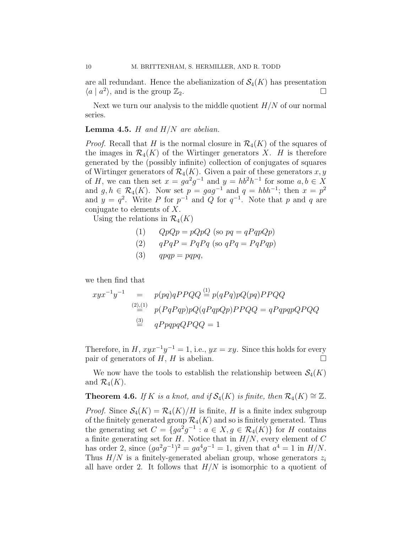are all redundant. Hence the abelianization of  $\mathcal{S}_4(K)$  has presentation  $\langle a | a^2 \rangle$ , and is the group  $\mathbb{Z}_2$ .

Next we turn our analysis to the middle quotient  $H/N$  of our normal series.

### Lemma 4.5. H *and* H/N *are abelian.*

*Proof.* Recall that H is the normal closure in  $\mathcal{R}_4(K)$  of the squares of the images in  $\mathcal{R}_4(K)$  of the Wirtinger generators X. H is therefore generated by the (possibly infinite) collection of conjugates of squares of Wirtinger generators of  $\mathcal{R}_4(K)$ . Given a pair of these generators x, y of H, we can then set  $x = ga^2g^{-1}$  and  $y = hb^2h^{-1}$  for some  $a, b \in X$ and  $g, h \in \mathcal{R}_4(K)$ . Now set  $p = gag^{-1}$  and  $q = hbh^{-1}$ ; then  $x = p^2$ and  $y = q^2$ . Write P for  $p^{-1}$  and Q for  $q^{-1}$ . Note that p and q are conjugate to elements of X.

Using the relations in  $\mathcal{R}_4(K)$ 

(1) 
$$
QpQp = pQpQ
$$
 (so  $pq = qPqpQp$ )  
(2)  $aPaP - PaPa$  (so  $aPa - PaPan$ )

$$
(2) \qquad qPqP = PqPq \text{ (so } qPq = PqPqp)
$$

$$
(3) \qquad qpqp = pqpq,
$$

we then find that

$$
xyx^{-1}y^{-1} = p(pq)qPPQQ \stackrel{(1)}{=} p(qPq)pQ(pq)PPQQ
$$
  
\n
$$
\stackrel{(2),(1)}{=} p(PqPqp)pQ(qPqpQp)PPQQ = qPqpqpQPQQ
$$
  
\n
$$
\stackrel{(3)}{=} qPpqpqQPQQ = 1
$$

Therefore, in  $H$ ,  $xyx^{-1}y^{-1} = 1$ , i.e.,  $yx = xy$ . Since this holds for every pair of generators of  $H$ ,  $H$  is abelian.

We now have the tools to establish the relationship between  $\mathcal{S}_4(K)$ and  $\mathcal{R}_4(K)$ .

**Theorem 4.6.** *If* K *is a knot, and if*  $S_4(K)$  *is finite, then*  $\mathcal{R}_4(K) \cong \mathbb{Z}$ *.* 

*Proof.* Since  $S_4(K) = \mathcal{R}_4(K)/H$  is finite, H is a finite index subgroup of the finitely generated group  $\mathcal{R}_4(K)$  and so is finitely generated. Thus the generating set  $C = \overline{\{ga^2g^{-1} : a \in X, g \in \mathcal{R}_4(K)\}}$  for H contains a finite generating set for  $H$ . Notice that in  $H/N$ , every element of  $C$ has order 2, since  $(ga^2g^{-1})^2 = ga^4g^{-1} = 1$ , given that  $a^4 = 1$  in  $H/N$ . Thus  $H/N$  is a finitely-generated abelian group, whose generators  $z_i$ all have order 2. It follows that  $H/N$  is isomorphic to a quotient of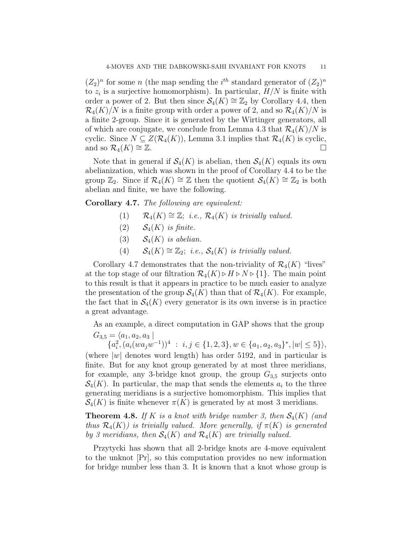$(Z_2)^n$  for some n (the map sending the i<sup>th</sup> standard generator of  $(Z_2)^n$ to  $z_i$  is a surjective homomorphism). In particular,  $H/N$  is finite with order a power of 2. But then since  $S_4(K) \cong \mathbb{Z}_2$  by Corollary 4.4, then  $\mathcal{R}_4(K)/N$  is a finite group with order a power of 2, and so  $\mathcal{R}_4(K)/N$  is a finite 2-group. Since it is generated by the Wirtinger generators, all of which are conjugate, we conclude from Lemma 4.3 that  $\mathcal{R}_4(K)/N$  is cyclic. Since  $N \subseteq Z(\mathcal{R}_4(K))$ , Lemma 3.1 implies that  $\mathcal{R}_4(K)$  is cyclic, and so  $\mathcal{R}_4(K) \cong \mathbb{Z}$ .

Note that in general if  $\mathcal{S}_4(K)$  is abelian, then  $\mathcal{S}_4(K)$  equals its own abelianization, which was shown in the proof of Corollary 4.4 to be the group  $\mathbb{Z}_2$ . Since if  $\mathcal{R}_4(K) \cong \mathbb{Z}$  then the quotient  $\mathcal{S}_4(K) \cong \mathbb{Z}_2$  is both abelian and finite, we have the following.

Corollary 4.7. *The following are equivalent:*

- (1)  $\mathcal{R}_4(K) \cong \mathbb{Z}$ ; *i.e.*,  $\mathcal{R}_4(K)$  *is trivially valued.*
- (2)  $\mathcal{S}_4(K)$  *is finite.*
- (3)  $S_4(K)$  *is abelian.*
- (4)  $S_4(K) \cong \mathbb{Z}_2$ ; *i.e.*,  $S_4(K)$  *is trivially valued.*

Corollary 4.7 demonstrates that the non-triviality of  $\mathcal{R}_4(K)$  "lives" at the top stage of our filtration  $\mathcal{R}_4(K) \triangleright H \triangleright N \triangleright \{1\}$ . The main point to this result is that it appears in practice to be much easier to analyze the presentation of the group  $\mathcal{S}_4(K)$  than that of  $\mathcal{R}_4(K)$ . For example, the fact that in  $\mathcal{S}_4(K)$  every generator is its own inverse is in practice a great advantage.

As an example, a direct computation in GAP shows that the group  $G_{3,5} = \langle a_1, a_2, a_3 \rangle$ 

 ${a_i^2, (a_i(wa_jw^{-1}))^4 : i, j \in \{1, 2, 3\}, w \in \{a_1, a_2, a_3\}^*, |w| \le 5\}},$ (where  $|w|$  denotes word length) has order 5192, and in particular is finite. But for any knot group generated by at most three meridians, for example, any 3-bridge knot group, the group  $G_{3,5}$  surjects onto  $\mathcal{S}_4(K)$ . In particular, the map that sends the elements  $a_i$  to the three generating meridians is a surjective homomorphism. This implies that  $\mathcal{S}_4(K)$  is finite whenever  $\pi(K)$  is generated by at most 3 meridians.

**Theorem 4.8.** If K is a knot with bridge number 3, then  $S_4(K)$  (and *thus*  $\mathcal{R}_4(K)$ *) is trivially valued. More generally, if*  $\pi(K)$  *is generated by 3 meridians, then*  $S_4(K)$  *and*  $\mathcal{R}_4(K)$  *are trivially valued.* 

Przytycki has shown that all 2-bridge knots are 4-move equivalent to the unknot [Pr], so this computation provides no new information for bridge number less than 3. It is known that a knot whose group is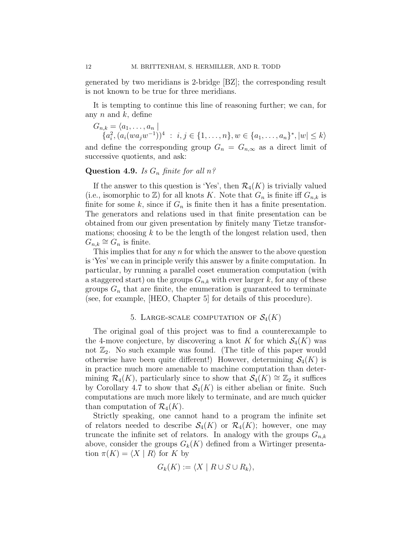generated by two meridians is 2-bridge [BZ]; the corresponding result is not known to be true for three meridians.

It is tempting to continue this line of reasoning further; we can, for any  $n$  and  $k$ , define

 $G_{n,k} = \langle a_1, \ldots, a_n |$  ${a_i^2, (a_i(wa_jw^{-1}))^4 : i, j \in \{1, ..., n\}, w \in \{a_1, ..., a_n\}^*, |w| \leq k}$ and define the corresponding group  $G_n = G_{n,\infty}$  as a direct limit of successive quotients, and ask:

# Question 4.9. *Is* G<sup>n</sup> *finite for all* n*?*

If the answer to this question is 'Yes', then  $\mathcal{R}_4(K)$  is trivially valued (i.e., isomorphic to  $\mathbb{Z}$ ) for all knots K. Note that  $G_n$  is finite iff  $G_{n,k}$  is finite for some k, since if  $G_n$  is finite then it has a finite presentation. The generators and relations used in that finite presentation can be obtained from our given presentation by finitely many Tietze transformations; choosing  $k$  to be the length of the longest relation used, then  $G_{n,k} \cong G_n$  is finite.

This implies that for any  $n$  for which the answer to the above question is 'Yes' we can in principle verify this answer by a finite computation. In particular, by running a parallel coset enumeration computation (with a staggered start) on the groups  $G_{n,k}$  with ever larger k, for any of these groups  $G_n$  that are finite, the enumeration is guaranteed to terminate (see, for example, [HEO, Chapter 5] for details of this procedure).

### 5. LARGE-SCALE COMPUTATION OF  $\mathcal{S}_4(K)$

The original goal of this project was to find a counterexample to the 4-move conjecture, by discovering a knot K for which  $\mathcal{S}_4(K)$  was not  $\mathbb{Z}_2$ . No such example was found. (The title of this paper would otherwise have been quite different!) However, determining  $S_4(K)$  is in practice much more amenable to machine computation than determining  $\mathcal{R}_4(K)$ , particularly since to show that  $\mathcal{S}_4(K) \cong \mathbb{Z}_2$  it suffices by Corollary 4.7 to show that  $S_4(K)$  is either abelian or finite. Such computations are much more likely to terminate, and are much quicker than computation of  $\mathcal{R}_4(K)$ .

Strictly speaking, one cannot hand to a program the infinite set of relators needed to describe  $S_4(K)$  or  $\mathcal{R}_4(K)$ ; however, one may truncate the infinite set of relators. In analogy with the groups  $G_{n,k}$ above, consider the groups  $G_k(K)$  defined from a Wirtinger presentation  $\pi(K) = \langle X | R \rangle$  for K by

$$
G_k(K) := \langle X \mid R \cup S \cup R_k \rangle,
$$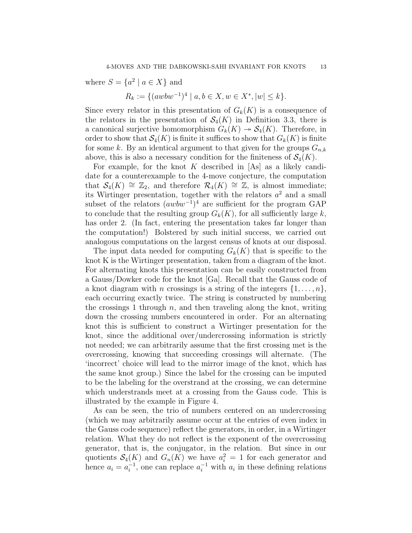where  $S = \{a^2 \mid a \in X\}$  and

$$
R_k := \{ (awbw^{-1})^4 \mid a, b \in X, w \in X^*, |w| \le k \}.
$$

Since every relator in this presentation of  $G_k(K)$  is a consequence of the relators in the presentation of  $\mathcal{S}_4(K)$  in Definition 3.3, there is a canonical surjective homomorphism  $G_k(K) \to \mathcal{S}_4(K)$ . Therefore, in order to show that  $\mathcal{S}_4(K)$  is finite it suffices to show that  $G_k(K)$  is finite for some k. By an identical argument to that given for the groups  $G_{n,k}$ above, this is also a necessary condition for the finiteness of  $\mathcal{S}_4(K)$ .

For example, for the knot K described in  $[As]$  as a likely candidate for a counterexample to the 4-move conjecture, the computation that  $S_4(K) \cong \mathbb{Z}_2$ , and therefore  $\mathcal{R}_4(K) \cong \mathbb{Z}$ , is almost immediate; its Wirtinger presentation, together with the relators  $a^2$  and a small subset of the relators  $(awbw^{-1})^4$  are sufficient for the program GAP to conclude that the resulting group  $G_k(K)$ , for all sufficiently large k, has order 2. (In fact, entering the presentation takes far longer than the computation!) Bolstered by such initial success, we carried out analogous computations on the largest census of knots at our disposal.

The input data needed for computing  $G_k(K)$  that is specific to the knot K is the Wirtinger presentation, taken from a diagram of the knot. For alternating knots this presentation can be easily constructed from a Gauss/Dowker code for the knot [Ga]. Recall that the Gauss code of a knot diagram with *n* crossings is a string of the integers  $\{1, \ldots, n\}$ , each occurring exactly twice. The string is constructed by numbering the crossings 1 through  $n$ , and then traveling along the knot, writing down the crossing numbers encountered in order. For an alternating knot this is sufficient to construct a Wirtinger presentation for the knot, since the additional over/undercrossing information is strictly not needed; we can arbitrarily assume that the first crossing met is the overcrossing, knowing that succeeding crossings will alternate. (The 'incorrect' choice will lead to the mirror image of the knot, which has the same knot group.) Since the label for the crossing can be imputed to be the labeling for the overstrand at the crossing, we can determine which understrands meet at a crossing from the Gauss code. This is illustrated by the example in Figure 4.

As can be seen, the trio of numbers centered on an undercrossing (which we may arbitrarily assume occur at the entries of even index in the Gauss code sequence) reflect the generators, in order, in a Wirtinger relation. What they do not reflect is the exponent of the overcrossing generator, that is, the conjugator, in the relation. But since in our quotients  $\mathcal{S}_4(K)$  and  $G_n(K)$  we have  $a_i^2 = 1$  for each generator and hence  $a_i = a_i^{-1}$ , one can replace  $a_i^{-1}$  with  $a_i$  in these defining relations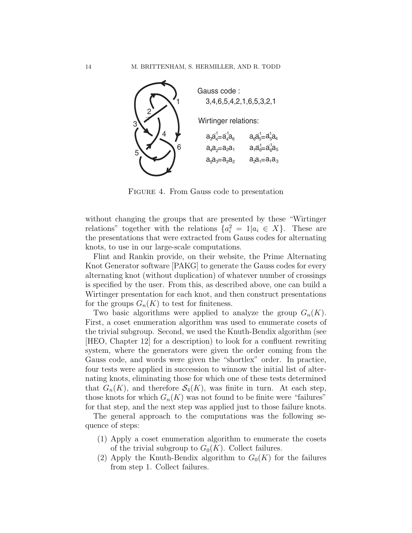

Figure 4. From Gauss code to presentation

without changing the groups that are presented by these "Wirtinger relations" together with the relations  $\{a_i^2 = 1 | a_i \in X\}$ . These are the presentations that were extracted from Gauss codes for alternating knots, to use in our large-scale computations.

Flint and Rankin provide, on their website, the Prime Alternating Knot Generator software [PAKG] to generate the Gauss codes for every alternating knot (without duplication) of whatever number of crossings is specified by the user. From this, as described above, one can build a Wirtinger presentation for each knot, and then construct presentations for the groups  $G_n(K)$  to test for finiteness.

Two basic algorithms were applied to analyze the group  $G_n(K)$ . First, a coset enumeration algorithm was used to enumerate cosets of the trivial subgroup. Second, we used the Knuth-Bendix algorithm (see [HEO, Chapter 12] for a description) to look for a confluent rewriting system, where the generators were given the order coming from the Gauss code, and words were given the "shortlex" order. In practice, four tests were applied in succession to winnow the initial list of alternating knots, eliminating those for which one of these tests determined that  $G_n(K)$ , and therefore  $S_4(K)$ , was finite in turn. At each step, those knots for which  $G_n(K)$  was not found to be finite were "failures" for that step, and the next step was applied just to those failure knots.

The general approach to the computations was the following sequence of steps:

- (1) Apply a coset enumeration algorithm to enumerate the cosets of the trivial subgroup to  $G_0(K)$ . Collect failures.
- (2) Apply the Knuth-Bendix algorithm to  $G_0(K)$  for the failures from step 1. Collect failures.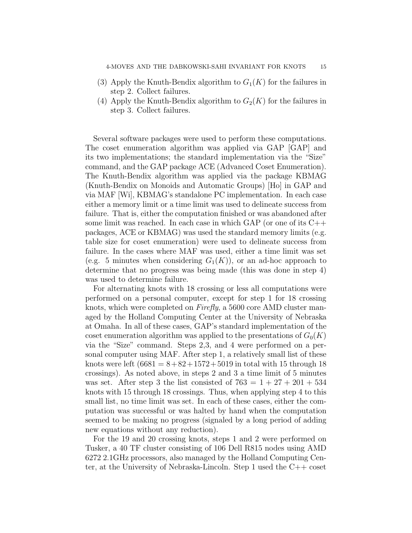- (3) Apply the Knuth-Bendix algorithm to  $G_1(K)$  for the failures in step 2. Collect failures.
- (4) Apply the Knuth-Bendix algorithm to  $G_2(K)$  for the failures in step 3. Collect failures.

Several software packages were used to perform these computations. The coset enumeration algorithm was applied via GAP [GAP] and its two implementations; the standard implementation via the "Size" command, and the GAP package ACE (Advanced Coset Enumeration). The Knuth-Bendix algorithm was applied via the package KBMAG (Knuth-Bendix on Monoids and Automatic Groups) [Ho] in GAP and via MAF [Wi], KBMAG's standalone PC implementation. In each case either a memory limit or a time limit was used to delineate success from failure. That is, either the computation finished or was abandoned after some limit was reached. In each case in which GAP (or one of its C++ packages, ACE or KBMAG) was used the standard memory limits (e.g. table size for coset enumeration) were used to delineate success from failure. In the cases where MAF was used, either a time limit was set (e.g. 5 minutes when considering  $G_1(K)$ ), or an ad-hoc approach to determine that no progress was being made (this was done in step 4) was used to determine failure.

For alternating knots with 18 crossing or less all computations were performed on a personal computer, except for step 1 for 18 crossing knots, which were completed on *Firefly*, a 5600 core AMD cluster managed by the Holland Computing Center at the University of Nebraska at Omaha. In all of these cases, GAP's standard implementation of the coset enumeration algorithm was applied to the presentations of  $G_0(K)$ via the "Size" command. Steps 2,3, and 4 were performed on a personal computer using MAF. After step 1, a relatively small list of these knots were left  $(6681 = 8 + 82 + 1572 + 5019)$  in total with 15 through 18 crossings). As noted above, in steps 2 and 3 a time limit of 5 minutes was set. After step 3 the list consisted of  $763 = 1 + 27 + 201 + 534$ knots with 15 through 18 crossings. Thus, when applying step 4 to this small list, no time limit was set. In each of these cases, either the computation was successful or was halted by hand when the computation seemed to be making no progress (signaled by a long period of adding new equations without any reduction).

For the 19 and 20 crossing knots, steps 1 and 2 were performed on Tusker, a 40 TF cluster consisting of 106 Dell R815 nodes using AMD 6272 2.1GHz processors, also managed by the Holland Computing Center, at the University of Nebraska-Lincoln. Step 1 used the C++ coset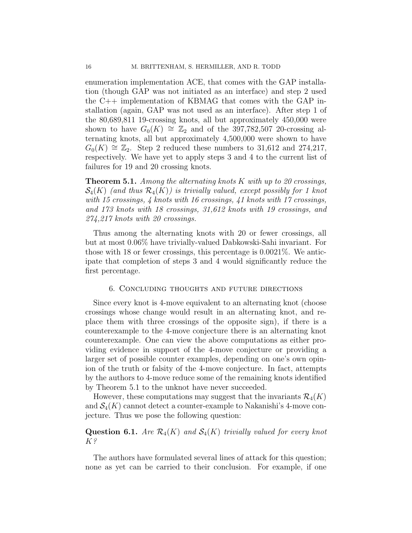enumeration implementation ACE, that comes with the GAP installation (though GAP was not initiated as an interface) and step 2 used the C++ implementation of KBMAG that comes with the GAP installation (again, GAP was not used as an interface). After step 1 of the 80,689,811 19-crossing knots, all but approximately 450,000 were shown to have  $G_0(K) \cong \mathbb{Z}_2$  and of the 397,782,507 20-crossing alternating knots, all but approximately 4,500,000 were shown to have  $G_0(K) \cong \mathbb{Z}_2$ . Step 2 reduced these numbers to 31,612 and 274,217, respectively. We have yet to apply steps 3 and 4 to the current list of failures for 19 and 20 crossing knots.

Theorem 5.1. *Among the alternating knots* K *with up to 20 crossings,*  $\mathcal{S}_4(K)$  (and thus  $\mathcal{R}_4(K)$ ) is trivially valued, except possibly for 1 knot *with 15 crossings, 4 knots with 16 crossings, 41 knots with 17 crossings, and 173 knots with 18 crossings, 31,612 knots with 19 crossings, and 274,217 knots with 20 crossings.*

Thus among the alternating knots with 20 or fewer crossings, all but at most 0.06% have trivially-valued Dabkowski-Sahi invariant. For those with 18 or fewer crossings, this percentage is 0.0021%. We anticipate that completion of steps 3 and 4 would significantly reduce the first percentage.

### 6. Concluding thoughts and future directions

Since every knot is 4-move equivalent to an alternating knot (choose crossings whose change would result in an alternating knot, and replace them with three crossings of the opposite sign), if there is a counterexample to the 4-move conjecture there is an alternating knot counterexample. One can view the above computations as either providing evidence in support of the 4-move conjecture or providing a larger set of possible counter examples, depending on one's own opinion of the truth or falsity of the 4-move conjecture. In fact, attempts by the authors to 4-move reduce some of the remaining knots identified by Theorem 5.1 to the unknot have never succeeded.

However, these computations may suggest that the invariants  $\mathcal{R}_4(K)$ and  $\mathcal{S}_4(K)$  cannot detect a counter-example to Nakanishi's 4-move conjecture. Thus we pose the following question:

## **Question 6.1.** *Are*  $\mathcal{R}_4(K)$  *and*  $\mathcal{S}_4(K)$  *trivially valued for every knot* K*?*

The authors have formulated several lines of attack for this question; none as yet can be carried to their conclusion. For example, if one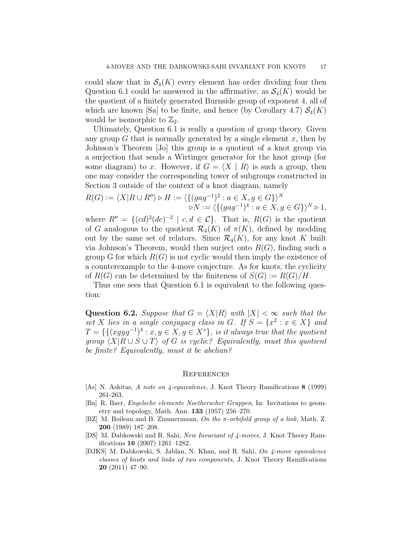could show that in  $\mathcal{S}_4(K)$  every element has order dividing four then Question 6.1 could be answered in the affirmative, as  $\mathcal{S}_4(K)$  would be the quotient of a finitely generated Burnside group of exponent 4, all of which are known [Sa] to be finite, and hence (by Corollary 4.7)  $\mathcal{S}_4(K)$ would be isomorphic to  $\mathbb{Z}_2$ .

Ultimately, Question 6.1 is really a question of group theory. Given any group  $G$  that is normally generated by a single element  $x$ , then by Johnson's Theorem [Jo] this group is a quotient of a knot group via a surjection that sends a Wirtinger generator for the knot group (for some diagram) to x. However, if  $G = \langle X | R \rangle$  is such a group, then one may consider the corresponding tower of subgroups constructed in Section 3 outside of the context of a knot diagram, namely

$$
R(G) := \langle X | R \cup R'' \rangle \triangleright H := \langle \{ (gag^{-1})^2 : a \in X, g \in G \} \rangle^N
$$
  

$$
\triangleright N := \langle \{ (gag^{-1})^4 : a \in X, g \in G \} \rangle^N \triangleright 1,
$$

where  $R'' = \{ (cd)^2 (dc)^{-2} \mid c, d \in C \}.$  That is,  $R(G)$  is the quotient of G analogous to the quotient  $\mathcal{R}_4(K)$  of  $\pi(K)$ , defined by modding out by the same set of relators. Since  $\mathcal{R}_4(K)$ , for any knot K built via Johnson's Theorem, would then surject onto  $R(G)$ , finding such a group G for which  $R(G)$  is not cyclic would then imply the existence of a counterexample to the 4-move conjecture. As for knots, the cyclicity of  $R(G)$  can be determined by the finiteness of  $S(G) := R(G)/H$ .

Thus one sees that Question 6.1 is equivalent to the following question:

**Question 6.2.** Suppose that  $G = \langle X | R \rangle$  with  $|X| < \infty$  such that the set *X* lies in a single conjugacy class in G. If  $S = \{x^2 : x \in X\}$  and  $T = \{ \{ (xgyg^{-1})^4 : x, y \in X, g \in X^* \}, \text{ is it always true that the quotient } \}$ *group*  $\langle X | R \cup S \cup T \rangle$  *of* G *is cyclic? Equivalently, must this quotient be finite? Equivalently, must it be abelian?*

### **REFERENCES**

- [As] N. Askitas, *A note on 4-equivalence*, J. Knot Theory Ramifications 8 (1999) 261-263.
- [Ba] R. Baer, *Engelsche elemente Noetherscher Gruppen*, In: Invitations to geometry and topology, Math. Ann. 133 (1957) 256–270.
- [BZ] M. Boileau and B. Zimmermann, *On the* π*-orbifold group of a link*, Math. Z. 200 (1989) 187–208.
- [DS] M. Dabkowski and R. Sahi, *New Invariant of 4-moves*, J. Knot Theory Ramifications 16 (2007) 1261–1282.
- [DJKS] M. Dabkowski, S. Jablan, N. Khan, and R. Sahi, *On 4-move equivalence classes of knots and links of two components*, J. Knot Theory Ramifications 20 (2011) 47–90.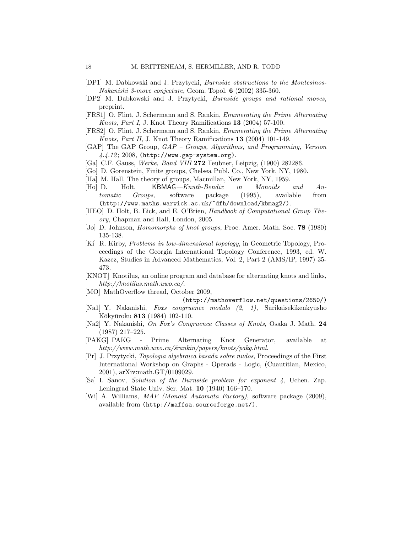- [DP1] M. Dabkowski and J. Przytycki, *Burnside obstructions to the Montesinos-Nakanishi 3-move conjecture*, Geom. Topol. 6 (2002) 335-360.
- [DP2] M. Dabkowski and J. Przytycki, *Burnside groups and rational moves*, preprint.
- [FRS1] O. Flint, J. Schermann and S. Rankin, *Enumerating the Prime Alternating Knots, Part I*, J. Knot Theory Ramifications 13 (2004) 57-100.
- [FRS2] O. Flint, J. Schermann and S. Rankin, *Enumerating the Prime Alternating Knots, Part II*, J. Knot Theory Ramifications 13 (2004) 101-149.
- [GAP] The GAP Group, *GAP Groups, Algorithms, and Programming, Version 4.4.12*; 2008, (http://www.gap-system.org).
- [Ga] C.F. Gauss, *Werke, Band VIII* 272 Teubner, Leipzig, (1900) 282286.
- [Go] D. Gorenstein, Finite groups, Chelsea Publ. Co., New York, NY, 1980.
- [Ha] M. Hall, The theory of groups, Macmillan, New York, NY, 1959.
- [Ho] D. Holt, KBMAG*—Knuth-Bendix in Monoids and Automatic Groups*, software package (1995), available from (http://www.maths.warwick.ac.uk/~dfh/download/kbmag2/).
- [HEO] D. Holt, B. Eick, and E. O'Brien, *Handbook of Computational Group Theory*, Chapman and Hall, London, 2005.
- [Jo] D. Johnson, *Homomorphs of knot groups*, Proc. Amer. Math. Soc. 78 (1980) 135-138.
- [Ki] R. Kirby, *Problems in low-dimensional topology*, in Geometric Topology, Proceedings of the Georgia International Topology Conference, 1993, ed. W. Kazez, Studies in Advanced Mathematics, Vol. 2, Part 2 (AMS/IP, 1997) 35- 473.
- [KNOT] Knotilus, an online program and database for alternating knots and links, *http://knotilus.math.uwo.ca/*.
- [MO] MathOverflow thread, October 2009,

(http://mathoverflow.net/questions/2650/)

- [Na1] Y. Nakanishi, *Foxs congruence modulo (2, 1)*, Sūrikaisekikenkyūsho Kōkyūroku **813** (1984) 102-110.
- [Na2] Y. Nakanishi, *On Fox's Congruence Classes of Knots*, Osaka J. Math. 24 (1987) 217–225.
- [PAKG] PAKG Prime Alternating Knot Generator, available at *http://www.math.uwo.ca/˜srankin/papers/knots/pakg.html*.
- [Pr] J. Przytycki, *Topologia algebraica basada sobre nudos*, Proceedings of the First International Workshop on Graphs - Operads - Logic, (Cuautitlan, Mexico, 2001), arXiv:math.GT/0109029.
- [Sa] I. Sanov, *Solution of the Burnside problem for exponent 4*, Uchen. Zap. Leningrad State Univ. Ser. Mat. 10 (1940) 166–170.
- [Wi] A. Williams, *MAF (Monoid Automata Factory)*, software package (2009), available from (http://maffsa.sourceforge.net/).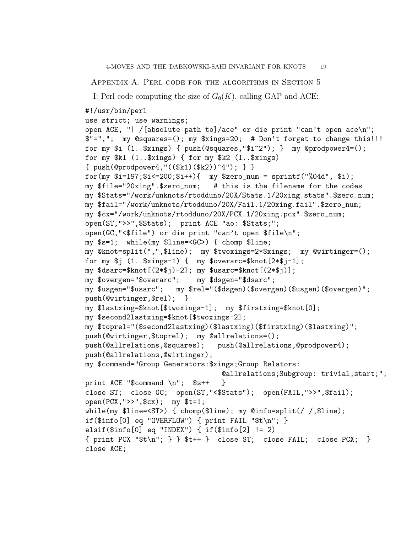Appendix A. Perl code for the algorithms in Section 5

I: Perl code computing the size of  $G_0(K)$ , calling GAP and ACE:

```
#!/usr/bin/perl
```

```
use strict; use warnings;
open ACE, "| /[absolute path to]/ace" or die print "can't open ace\n";
$"=","; my @squares=(); my $xings=20; # Don't forget to change this!!!
for my $i (1..$xings) { push(@squares,"$i^2"); } my @prodpower4=();
for my $k1 (1..$xings) { for my $k2 (1..$xings)
{ \; \text{push}(\text{Oprodpower4}, \text{``(($k1)($k2))^4"); } \; \}for(my i=197; i<200; i+1 my z=0, num = sprintf("%04d", i);
my $file="20xing".$zero_num; # this is the filename for the codes
my $Stats="/work/unknots/rtodduno/20X/Stats.1/20xing.stats".$zero_num;
my $fail="/work/unknots/rtodduno/20X/Fail.1/20xing.fail".$zero_num;
my $cx="/work/unknots/rtodduno/20X/PCX.1/20xing.pcx".$zero_num;
open(ST,">>",$Stats); print ACE "ao: $Stats;";
open(GC,"<$file") or die print "can't open $file\n";
my $s=1; while(my $line=<GC>) { chomp $line;
my @knot=split(",",$line); my $twoxings=2*$xings; my @wirtinger=();
for my $j (1..$xings-1) { my $overarc=$knot[2*$j-1];
my $dsarc=$knot[(2*$j)-2]; my $usarc=$knot[(2*$j)];
my $overgen="$overarc"; my $dsgen="$dsarc";
my $usgen="$usarc"; my $rel="($dsgen)($overgen)($usgen)($overgen)";
push(@wirtinger,$rel); }
my $lastxing=$knot[$twoxings-1]; my $firstxing=$knot[0];
my $second2lastxing=$knot[$twoxings-2];
my $toprel="($second2lastxing)($lastxing)($firstxing)($lastxing)";
push(@wirtinger,$toprel); my @allrelations=();
push(@allrelations,@squares); push(@allrelations,@prodpower4);
push(@allrelations,@wirtinger);
my $command="Group Generators:$xings;Group Relators:
                                 @allrelations;Subgroup: trivial;start;";
print ACE "$command \n"; $s++ }
close ST; close GC; open(ST,"<$Stats"); open(FAIL,">>",$fail);
open(PCX,">>",$cx); my $t=1;
while(my $line=<ST>) { chomp($line); my @info=split(/ /,$line);
if($info[0] eq "OVERFLOW") { print FAIL "$t\n"; }
elsif(\frac{\sin(\frac{\pi}{6})}{\pi} eq "INDEX") { if(\frac{\sin(\frac{\pi}{6})}{\pi} != 2)
{ print PCX "$t\n"; } } $t++ } close ST; close FAIL; close PCX; }
close ACE;
```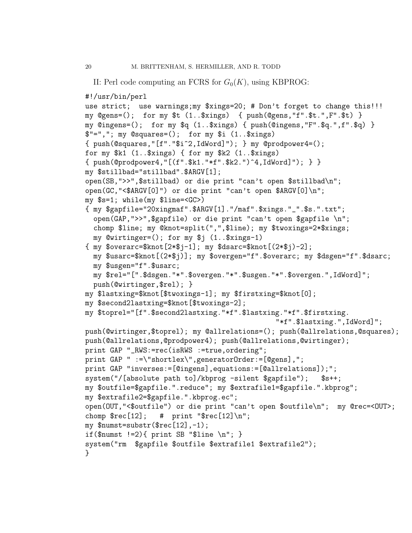```
II: Perl code computing an FCRS for G_0(K), using KBPROG:
```

```
#!/usr/bin/perl
```

```
use strict; use warnings;my $xings=20; # Don't forget to change this!!!
my @gens=(); for my $t (1..$xings) { push(@gens,"f".$t.",F".$t) }
my @ingens=(); for my $q (1..$xings) { push(@ingens,"F".$q.",f".$q) }
$"=","; my @squares=(); for my $i (1..$xings)
{ push(@squares,"[f"."$i^2,IdWord]"); } my @prodpower4=();
for my $k1 (1..$xings) { for my $k2 (1..$xings)
{ push(@prodpower4,"[(f".$k1."*f".$k2.")^4,IdWord]"); } }
my $stillbad="stillbad".$ARGV[1];
open(SB,">>",$stillbad) or die print "can't open $stillbad\n";
open(GC,"<$ARGV[0]") or die print "can't open $ARGV[0]\n";
my $s=1; while(my $line=<GC>)
{ my $gapfile="20xingmaf".$ARGV[1]."/maf".$xings."_".$s.".txt";
  open(GAP,">>",$gapfile) or die print "can't open $gapfile \n";
  chomp $line; my @knot=split(",",$line); my $twoxings=2*$xings;
  my @wirtinger=(); for my $j (1..$xings-1)
{ \mbox{ m}y \ \text{Soverarc}=\hbox{Rmot}[2*\$j-1]; \ \mbox{m}y \ \text{Sdsarc}=\hbox{Rmot}[(2*\$j)-2];my $usarc=$knot[(2*$j)]; my $overgen="f".$overarc; my $dsgen="f".$dsarc;
  my $usgen="f".$usarc;
  my $rel="[".$dsgen."*".$overgen."*".$usgen."*".$overgen.",IdWord]";
 push(@wirtinger,$rel); }
my $lastxing=$knot[$twoxings-1]; my $firstxing=$knot[0];
my $second2lastxing=$knot[$twoxings-2];
my $toprel="[f".$second2lastxing."*f".$lastxing."*f".$firstxing.
                                                 "*f".$lastxing.",IdWord]";
push(@wirtinger,$toprel); my @allrelations=(); push(@allrelations,@squares);
push(@allrelations,@prodpower4); push(@allrelations,@wirtinger);
print GAP "_RWS:=rec(isRWS :=true,ordering";
print GAP " :=\"shortlex\",generatorOrder:=[@gens],";
print GAP "inverses:=[@ingens],equations:=[@allrelations]);";
system("/[absolute path to]/kbprog -silent $gapfile");    $s++;
my $outfile=$gapfile.".reduce"; my $extrafile1=$gapfile.".kbprog";
my $extrafile2=$gapfile.".kbprog.ec";
open(OUT,"<$outfile") or die print "can't open $outfile\n"; my @rec=<OUT>;
chomp \frac{\text{Spec}[12]}{ \text{#} \text{print}} "\frac{\text{Spec}[12]\setminus n}{\text{#} \text{}}my $numst=substr($rec[12],-1);
if(\text{unst} !=2){ print SB "\text{line } \n\cdot \mathbb{R} }
system("rm $gapfile $outfile $extrafile1 $extrafile2");
}
```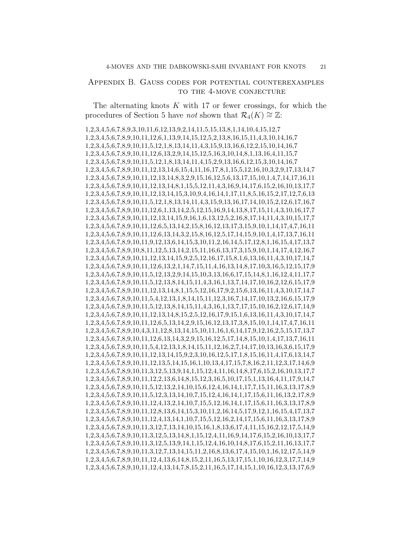## Appendix B. Gauss codes for potential counterexamples to the 4-move conjecture

The alternating knots  $K$  with 17 or fewer crossings, for which the procedures of Section 5 have *not* shown that  $\mathcal{R}_4(K) \cong \mathbb{Z}$ :

1,2,3,4,5,6,7,8,9,3,10,11,6,12,13,9,2,14,11,5,15,13,8,1,14,10,4,15,12,7 1,2,3,4,5,6,7,8,9,10,11,12,6,1,13,9,14,15,12,5,2,13,8,16,15,11,4,3,10,14,16,7 1,2,3,4,5,6,7,8,9,10,11,5,12,1,8,13,14,11,4,3,15,9,13,16,6,12,2,15,10,14,16,7 1,2,3,4,5,6,7,8,9,10,11,12,6,13,2,9,14,15,12,5,16,3,10,14,8,1,13,16,4,11,15,7 1,2,3,4,5,6,7,8,9,10,11,5,12,1,8,13,14,11,4,15,2,9,13,16,6,12,15,3,10,14,16,7 1,2,3,4,5,6,7,8,9,10,11,12,13,14,6,15,4,11,16,17,8,1,15,5,12,16,10,3,2,9,17,13,14,7 1,2,3,4,5,6,7,8,9,10,11,12,13,14,8,3,2,9,15,16,12,5,6,13,17,15,10,1,4,7,14,17,16,11 1,2,3,4,5,6,7,8,9,10,11,12,13,14,8,1,15,5,12,11,4,3,16,9,14,17,6,15,2,16,10,13,17,7 1,2,3,4,5,6,7,8,9,10,11,12,13,14,15,3,10,9,4,16,14,1,17,11,8,5,16,15,2,17,12,7,6,13 1,2,3,4,5,6,7,8,9,10,11,5,12,1,8,13,14,11,4,3,15,9,13,16,17,14,10,15,2,12,6,17,16,7 1,2,3,4,5,6,7,8,9,10,11,12,6,1,13,14,2,5,12,15,16,9,14,13,8,17,15,11,4,3,10,16,17,7 1,2,3,4,5,6,7,8,9,10,11,12,13,14,15,9,16,1,6,13,12,5,2,16,8,17,14,11,4,3,10,15,17,7 1,2,3,4,5,6,7,8,9,10,11,12,6,5,13,14,2,15,8,16,12,13,17,3,15,9,10,1,14,17,4,7,16,11 1,2,3,4,5,6,7,8,9,10,11,12,6,13,14,3,2,15,8,16,12,5,17,14,15,9,10,1,4,17,13,7,16,11 1,2,3,4,5,6,7,8,9,10,11,9,12,13,6,14,15,3,10,11,2,16,14,5,17,12,8,1,16,15,4,17,13,7 1,2,3,4,5,6,7,8,9,10,8,11,12,5,13,14,2,15,11,16,6,13,17,3,15,9,10,1,14,17,4,12,16,7 1,2,3,4,5,6,7,8,9,10,11,12,13,14,15,9,2,5,12,16,17,15,8,1,6,13,16,11,4,3,10,17,14,7 1,2,3,4,5,6,7,8,9,10,11,12,6,13,2,1,14,7,15,11,4,16,13,14,8,17,10,3,16,5,12,15,17,9 1,2,3,4,5,6,7,8,9,10,11,5,12,13,2,9,14,15,10,3,13,16,6,17,15,14,8,1,16,12,4,11,17,7 1,2,3,4,5,6,7,8,9,10,11,5,12,13,8,14,15,11,4,3,16,1,13,7,14,17,10,16,2,12,6,15,17,9 1,2,3,4,5,6,7,8,9,10,11,12,13,14,8,1,15,5,12,16,17,9,2,15,6,13,16,11,4,3,10,17,14,7 1,2,3,4,5,6,7,8,9,10,11,5,4,12,13,1,8,14,15,11,12,3,16,7,14,17,10,13,2,16,6,15,17,9 1,2,3,4,5,6,7,8,9,10,11,5,12,13,8,14,15,11,4,3,16,1,13,7,17,15,10,16,2,12,6,17,14,9 1,2,3,4,5,6,7,8,9,10,11,12,13,14,8,15,2,5,12,16,17,9,15,1,6,13,16,11,4,3,10,17,14,7 1,2,3,4,5,6,7,8,9,10,11,12,6,5,13,14,2,9,15,16,12,13,17,3,8,15,10,1,14,17,4,7,16,11 1,2,3,4,5,6,7,8,9,10,4,3,11,12,8,13,14,15,10,11,16,1,6,14,17,9,12,16,2,5,15,17,13,7 1,2,3,4,5,6,7,8,9,10,11,12,6,13,14,3,2,9,15,16,12,5,17,14,8,15,10,1,4,17,13,7,16,11 1,2,3,4,5,6,7,8,9,10,11,5,4,12,13,1,8,14,15,11,12,16,2,7,14,17,10,13,16,3,6,15,17,9 1,2,3,4,5,6,7,8,9,10,11,12,13,14,15,9,2,3,10,16,12,5,17,1,8,15,16,11,4,17,6,13,14,7 1,2,3,4,5,6,7,8,9,10,11,12,13,5,14,15,16,1,10,13,4,17,15,7,8,16,2,11,12,3,17,14,6,9 1,2,3,4,5,6,7,8,9,10,11,3,12,5,13,9,14,1,15,12,4,11,16,14,8,17,6,15,2,16,10,13,17,7 1,2,3,4,5,6,7,8,9,10,11,12,2,13,6,14,8,15,12,3,16,5,10,17,15,1,13,16,4,11,17,9,14,7 1,2,3,4,5,6,7,8,9,10,11,5,12,13,2,14,10,15,6,12,4,16,14,1,17,7,15,11,16,3,13,17,8,9 1,2,3,4,5,6,7,8,9,10,11,5,12,3,13,14,10,7,15,12,4,16,14,1,17,15,6,11,16,13,2,17,8,9 1,2,3,4,5,6,7,8,9,10,11,12,4,13,2,14,10,7,15,5,12,16,14,1,17,15,6,11,16,3,13,17,8,9 1,2,3,4,5,6,7,8,9,10,11,12,8,13,6,14,15,3,10,11,2,16,14,5,17,9,12,1,16,15,4,17,13,7 1,2,3,4,5,6,7,8,9,10,11,12,4,13,14,1,10,7,15,5,12,16,2,14,17,15,6,11,16,3,13,17,8,9 1,2,3,4,5,6,7,8,9,10,11,3,12,7,13,14,10,15,16,1,8,13,6,17,4,11,15,16,2,12,17,5,14,9 1,2,3,4,5,6,7,8,9,10,11,3,12,5,13,14,8,1,15,12,4,11,16,9,14,17,6,15,2,16,10,13,17,7 1,2,3,4,5,6,7,8,9,10,11,3,12,5,13,9,14,1,15,12,4,16,10,14,8,17,6,15,2,11,16,13,17,7 1,2,3,4,5,6,7,8,9,10,11,3,12,7,13,14,15,11,2,16,8,13,6,17,4,15,10,1,16,12,17,5,14,9 1,2,3,4,5,6,7,8,9,10,11,12,4,13,6,14,8,15,2,11,16,5,13,17,15,1,10,16,12,3,17,7,14,9 1,2,3,4,5,6,7,8,9,10,11,12,4,13,14,7,8,15,2,11,16,5,17,14,15,1,10,16,12,3,13,17,6,9